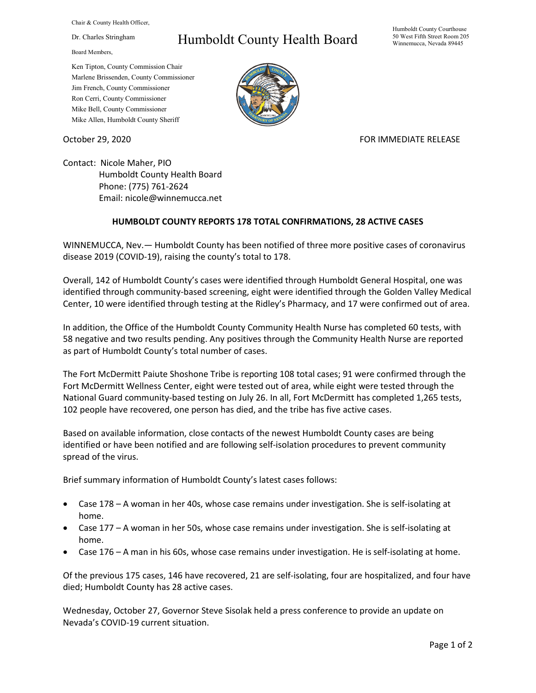Chair & County Health Officer,

Dr. Charles Stringham

Board Members,

## Humboldt County Health Board

Humboldt County Courthouse 50 West Fifth Street Room 205 Winnemucca, Nevada 89445

Ken Tipton, County Commission Chair Marlene Brissenden, County Commissioner Jim French, County Commissioner Ron Cerri, County Commissioner Mike Bell, County Commissioner Mike Allen, Humboldt County Sheriff

October 29, 2020 **FOR IMMEDIATE RELEASE** 

Contact: Nicole Maher, PIO Humboldt County Health Board Phone: (775) 761-2624 Email: nicole@winnemucca.net

## **HUMBOLDT COUNTY REPORTS 178 TOTAL CONFIRMATIONS, 28 ACTIVE CASES**

WINNEMUCCA, Nev.— Humboldt County has been notified of three more positive cases of coronavirus disease 2019 (COVID-19), raising the county's total to 178.

Overall, 142 of Humboldt County's cases were identified through Humboldt General Hospital, one was identified through community-based screening, eight were identified through the Golden Valley Medical Center, 10 were identified through testing at the Ridley's Pharmacy, and 17 were confirmed out of area.

In addition, the Office of the Humboldt County Community Health Nurse has completed 60 tests, with 58 negative and two results pending. Any positives through the Community Health Nurse are reported as part of Humboldt County's total number of cases.

The Fort McDermitt Paiute Shoshone Tribe is reporting 108 total cases; 91 were confirmed through the Fort McDermitt Wellness Center, eight were tested out of area, while eight were tested through the National Guard community-based testing on July 26. In all, Fort McDermitt has completed 1,265 tests, 102 people have recovered, one person has died, and the tribe has five active cases.

Based on available information, close contacts of the newest Humboldt County cases are being identified or have been notified and are following self-isolation procedures to prevent community spread of the virus.

Brief summary information of Humboldt County's latest cases follows:

- Case 178 A woman in her 40s, whose case remains under investigation. She is self-isolating at home.
- Case 177 A woman in her 50s, whose case remains under investigation. She is self-isolating at home.
- Case 176 A man in his 60s, whose case remains under investigation. He is self-isolating at home.

Of the previous 175 cases, 146 have recovered, 21 are self-isolating, four are hospitalized, and four have died; Humboldt County has 28 active cases.

Wednesday, October 27, Governor Steve Sisolak held a press conference to provide an update on Nevada's COVID-19 current situation.